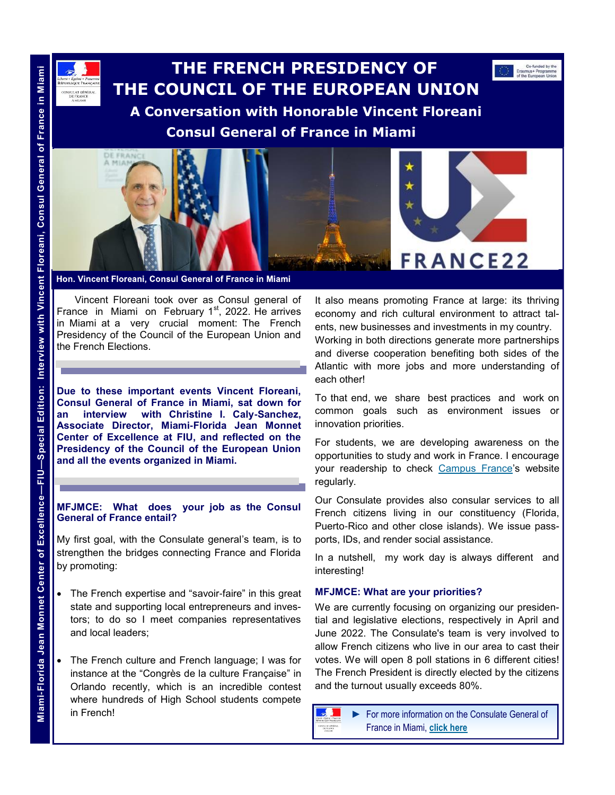# **THE FRENCH PRESIDENCY OF THE COUNCIL OF THE EUROPEAN UNION A Conversation with Honorable Vincent Floreani Consul General of France in Miami**



Hon. Vincent Floreani, Consul General of France in Miami

Vincent Floreani took over as Consul general of France in Miami on February  $1<sup>st</sup>$ , 2022. He arrives in Miami at a very crucial moment: The French Presidency of the Council of the European Union and the French Elections.

**Due to these important events Vincent Floreani, Consul General of France in Miami, sat down for an interview with Christine I. Caly-Sanchez, Associate Director, Miami-Florida Jean Monnet Center of Excellence at FIU, and reflected on the Presidency of the Council of the European Union and all the events organized in Miami.**

### **MFJMCE: What does your job as the Consul General of France entail?**

My first goal, with the Consulate general's team, is to strengthen the bridges connecting France and Florida by promoting:

- The French expertise and "savoir-faire" in this great state and supporting local entrepreneurs and investors; to do so I meet companies representatives and local leaders;
- The French culture and French language; I was for instance at the "Congrès de la culture Française" in Orlando recently, which is an incredible contest where hundreds of High School students compete in French!

It also means promoting France at large: its thriving economy and rich cultural environment to attract talents, new businesses and investments in my country. Working in both directions generate more partnerships and diverse cooperation benefiting both sides of the Atlantic with more jobs and more understanding of each other!

Co-funded by the<br>Erasmus+ Programm<br>of the European Union

To that end, we share best practices and work on common goals such as environment issues or innovation priorities.

For students, we are developing awareness on the opportunities to study and work in France. I encourage your readership to check [Campus France's](https://www.campusfrance.org/en) website regularly.

Our Consulate provides also consular services to all French citizens living in our constituency (Florida, Puerto-Rico and other close islands). We issue passports, IDs, and render social assistance.

In a nutshell, my work day is always different and interesting!

### **MFJMCE: What are your priorities?**

We are currently focusing on organizing our presidential and legislative elections, respectively in April and June 2022. The Consulate's team is very involved to allow French citizens who live in our area to cast their votes. We will open 8 poll stations in 6 different cities! The French President is directly elected by the citizens and the turnout usually exceeds 80%.



ISULAT GENE

► For more information on the Consulate General of

NSULAT GÉNÉRAL<br>DE FRANCE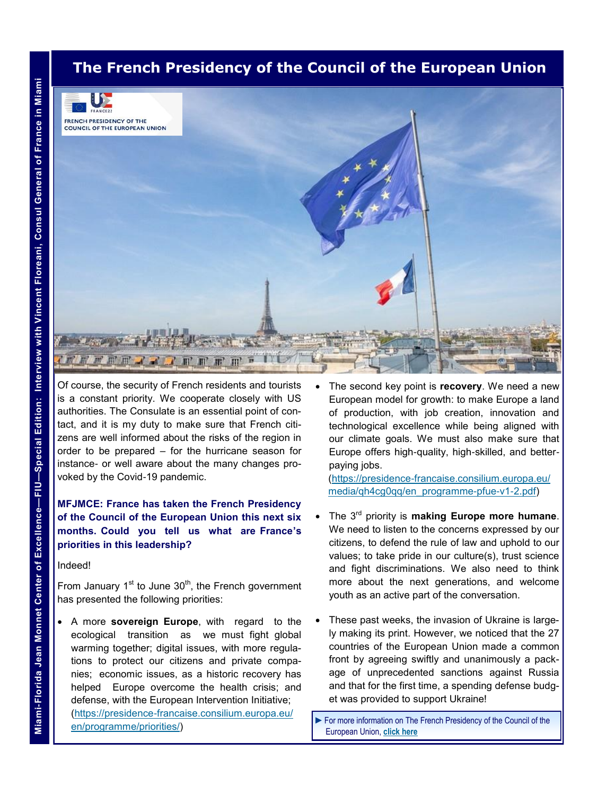# **The French Presidency of the Council of the European Union**



Of course, the security of French residents and tourists is a constant priority. We cooperate closely with US authorities. The Consulate is an essential point of contact, and it is my duty to make sure that French citizens are well informed about the risks of the region in order to be prepared – for the hurricane season for instance- or well aware about the many changes provoked by the Covid-19 pandemic.

### **MFJMCE: France has taken the French Presidency of the Council of the European Union this next six months. Could you tell us what are France's priorities in this leadership?**

#### Indeed!

From January  $1<sup>st</sup>$  to June  $30<sup>th</sup>$ , the French government has presented the following priorities:

• A more **sovereign Europe**, with regard to the ecological transition as we must fight global warming together; digital issues, with more regulations to protect our citizens and private companies; economic issues, as a historic recovery has helped Europe overcome the health crisis; and defense, with the European Intervention Initiative; [\(https://presidence-francaise.consilium.europa.eu/](https://urldefense.com/v3/__https:/presidence-francaise.consilium.europa.eu/en/programme/priorities/__;!!FjuHKAHQs5udqho!a_LUmW8eTpYTugeMitXL2eyw3wE6L6S2SOueiMJqYFrNivQkU9XhoUPOgNGASQ$) [en/programme/priorities/\)](https://urldefense.com/v3/__https:/presidence-francaise.consilium.europa.eu/en/programme/priorities/__;!!FjuHKAHQs5udqho!a_LUmW8eTpYTugeMitXL2eyw3wE6L6S2SOueiMJqYFrNivQkU9XhoUPOgNGASQ$)

• The second key point is **recovery**. We need a new European model for growth: to make Europe a land of production, with job creation, innovation and technological excellence while being aligned with our climate goals. We must also make sure that Europe offers high-quality, high-skilled, and betterpaying jobs.

[\(https://presidence-francaise.consilium.europa.eu/](https://urldefense.com/v3/__https:/presidence-francaise.consilium.europa.eu/media/qh4cg0qq/en_programme-pfue-v1-2.pdf__;!!FjuHKAHQs5udqho!a_LUmW8eTpYTugeMitXL2eyw3wE6L6S2SOueiMJqYFrNivQkU9XhoUPb0F6RjQ$) [media/qh4cg0qq/en\\_programme-pfue-v1-2.pdf\)](https://urldefense.com/v3/__https:/presidence-francaise.consilium.europa.eu/media/qh4cg0qq/en_programme-pfue-v1-2.pdf__;!!FjuHKAHQs5udqho!a_LUmW8eTpYTugeMitXL2eyw3wE6L6S2SOueiMJqYFrNivQkU9XhoUPb0F6RjQ$)

- The 3<sup>rd</sup> priority is **making Europe more humane**. We need to listen to the concerns expressed by our citizens, to defend the rule of law and uphold to our values; to take pride in our culture(s), trust science and fight discriminations. We also need to think more about the next generations, and welcome youth as an active part of the conversation.
- These past weeks, the invasion of Ukraine is largely making its print. However, we noticed that the 27 countries of the European Union made a common front by agreeing swiftly and unanimously a package of unprecedented sanctions against Russia and that for the first time, a spending defense budget was provided to support Ukraine!

► For more information on The French Presidency of the Council of the European Union, **[click here](https://presidence-francaise.consilium.europa.eu/en/)**